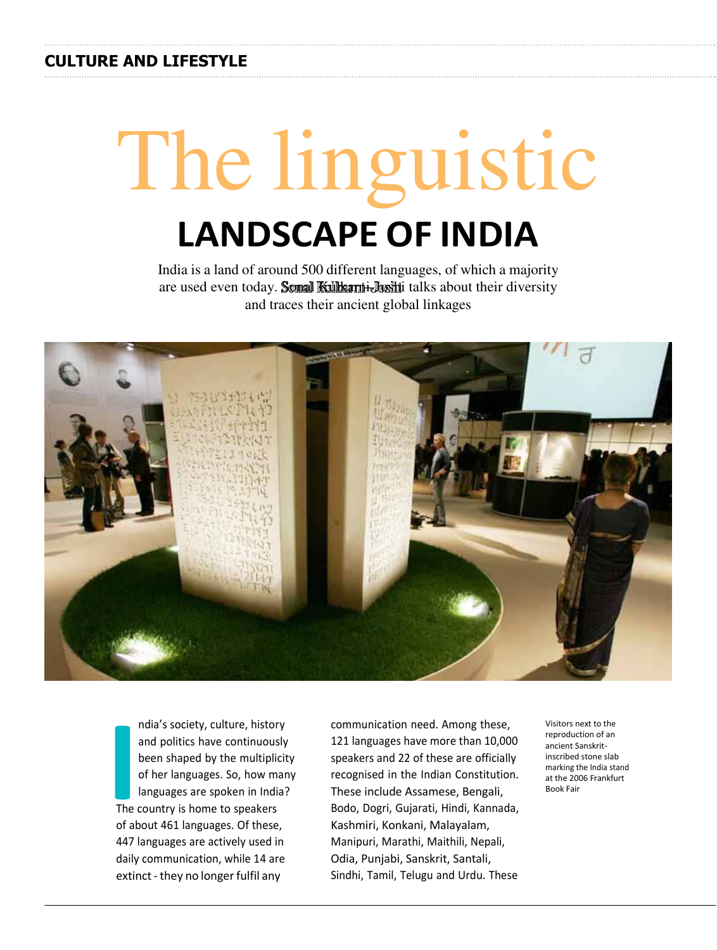## **CULTURE AND LIFESTYLE**

# The linguistic **LANDSCAPE OF INDIA**

India is a land of around 500 different languages, of which a majority are used even today. Sonal Kulkarni-Joshi talks about their diversity and traces their ancient global linkages



**I**<br> **I**<br> **I**<br> **I**<br> **I**<br> **I**<br> **I**<br> **I** ndia's society, culture, history and politics have continuously been shaped by the multiplicity of her languages. So, how many languages are spoken in India? The country is home to speakers of about 461 languages. Of these, 447 languages are actively used in daily communication, while 14 are extinct - they no longer fulfil any

communication need. Among these, 121 languages have more than 10,000 speakers and 22 of these are officially recognised in the Indian Constitution. These include Assamese, Bengali, Bodo, Dogri, Gujarati, Hindi, Kannada, Kashmiri, Konkani, Malayalam, Manipuri, Marathi, Maithili, Nepali, Odia, Punjabi, Sanskrit, Santali, Sindhi, Tamil, Telugu and Urdu. These

Visitors next to the reproduction of an ancient Sanskritinscribed stone slab marking the India stand at the 2006 Frankfurt Book Fair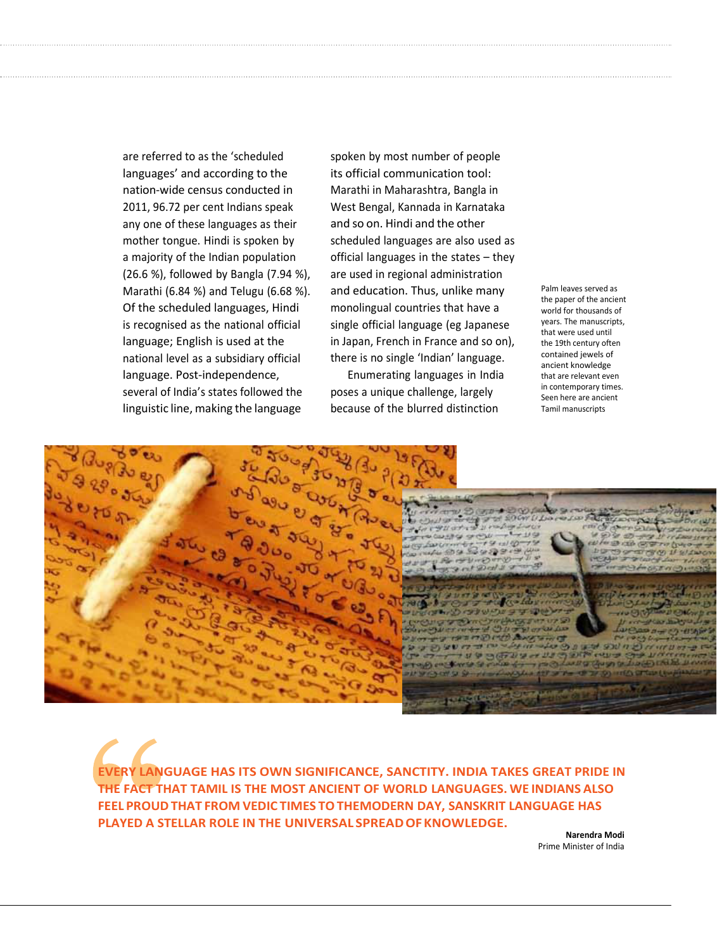are referred to as the 'scheduled languages' and according to the nation-wide census conducted in 2011, 96.72 per cent Indians speak any one of these languages as their mother tongue. Hindi is spoken by a majority of the Indian population (26.6 %), followed by Bangla (7.94 %), Marathi (6.84 %) and Telugu (6.68 %). Of the scheduled languages, Hindi is recognised as the national official language; English is used at the national level as a subsidiary official language. Post-independence, several of India's states followed the linguistic line, making the language

spoken by most number of people its official communication tool: Marathi in Maharashtra, Bangla in West Bengal, Kannada in Karnataka and so on. Hindi and the other scheduled languages are also used as official languages in the states – they are used in regional administration and education. Thus, unlike many monolingual countries that have a single official language (eg Japanese in Japan, French in France and so on), there is no single 'Indian' language.

Enumerating languages in India poses a unique challenge, largely because of the blurred distinction

Palm leaves served as the paper of the ancient world for thousands of years. The manuscripts, that were used until the 19th century often contained jewels of ancient knowledge that are relevant even in contemporary times. Seen here are ancient Tamil manuscripts



**EVERY LANGUAGE HAS ITS OWN SIGNIFICANCE, SANCTITY. INDIA TAKES GREAT PRIDE IN THE FACT THAT TAMIL IS THE MOST ANCIENT OF WORLD LANGUAGES. WE INDIANS ALSO FEEL PROUD THAT FROM VEDIC TIMES TOTHE MODERN DAY, SANSKRIT LANGUAGE HAS PLAYED A STELLAR ROLE IN THE UNIVERSAL SPREAD OF KNOWLEDGE.**

**Narendra Modi** Prime Minister of India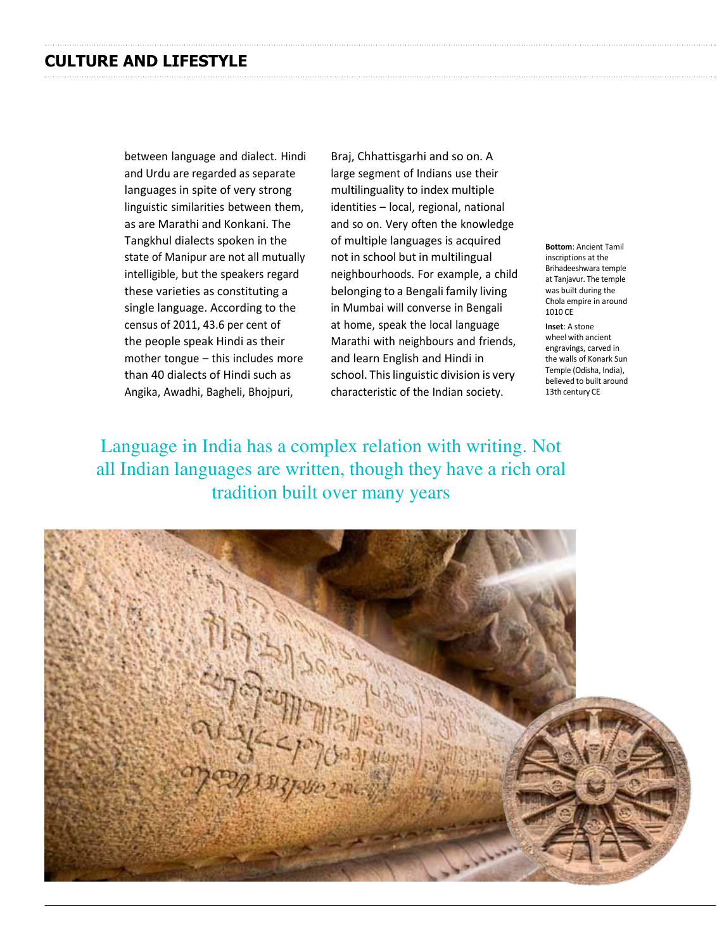between language and dialect. Hindi and Urdu are regarded as separate languages in spite of very strong linguistic similarities between them, as are Marathi and Konkani. The Tangkhul dialects spoken in the state of Manipur are not all mutually intelligible, but the speakers regard these varieties as constituting a single language. According to the census of 2011, 43.6 per cent of the people speak Hindi as their mother tongue – this includes more than 40 dialects of Hindi such as Angika, Awadhi, Bagheli, Bhojpuri,

Braj, Chhattisgarhi and so on. A large segment of Indians use their multilinguality to index multiple identities – local, regional, national and so on. Very often the knowledge of multiple languages is acquired not in school but in multilingual neighbourhoods. For example, a child belonging to a Bengali family living in Mumbai will converse in Bengali at home, speak the local language Marathi with neighbours and friends, and learn English and Hindi in school. This linguistic division is very characteristic of the Indian society.

**Bottom**: Ancient Tamil inscriptions at the Brihadeeshwara temple at Tanjavur. The temple was built during the Chola empire in around 1010 CE

**Inset**: A stone wheel with ancient engravings, carved in the walls of Konark Sun Temple (Odisha, India), believed to built around 13th century CE

Language in India has a complex relation with writing. Not all Indian languages are written, though they have a rich oral tradition built over many years

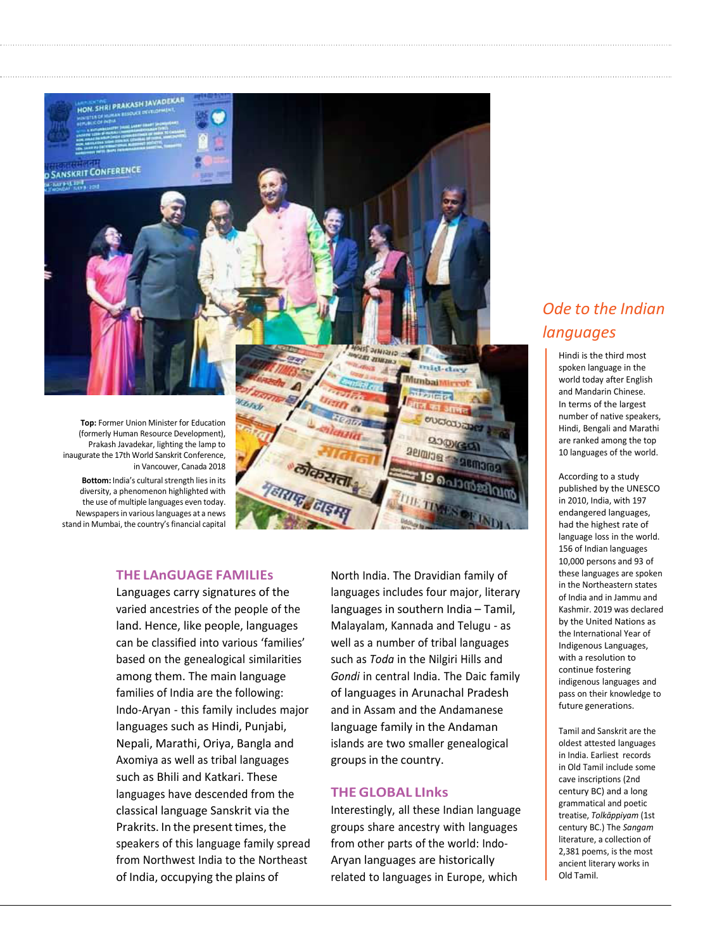

## **THE LAnGUAGE FAMILIEs**

Languages carry signatures of the varied ancestries of the people of the land. Hence, like people, languages can be classified into various 'families' based on the genealogical similarities among them. The main language families of India are the following: Indo-Aryan - this family includes major languages such as Hindi, Punjabi, Nepali, Marathi, Oriya, Bangla and Axomiya as well as tribal languages such as Bhili and Katkari. These languages have descended from the classical language Sanskrit via the Prakrits. In the present times, the speakers of this language family spread from Northwest India to the Northeast of India, occupying the plains of

North India. The Dravidian family of languages includes four major, literary languages in southern India – Tamil, Malayalam, Kannada and Telugu - as well as a number of tribal languages such as *Toda* in the Nilgiri Hills and *Gondi* in central India. The Daic family of languages in Arunachal Pradesh and in Assam and the Andamanese language family in the Andaman islands are two smaller genealogical groups in the country.

## **THE GLOBAL LInks**

Interestingly, all these Indian language groups share ancestry with languages from other parts of the world: Indo-Aryan languages are historically related to languages in Europe, which

## *Ode to the Indian languages*

Hindi is the third most spoken language in the world today after English and Mandarin Chinese. In terms of the largest number of native speakers, Hindi, Bengali and Marathi are ranked among the top 10 languages of the world.

According to a study published by the UNESCO in 2010, India, with 197 endangered languages, had the highest rate of language loss in the world. 156 of Indian languages 10,000 persons and 93 of these languages are spoken in the Northeastern states of India and in Jammu and Kashmir. 2019 was declared by the United Nations as the International Year of Indigenous Languages, with a resolution to continue fostering indigenous languages and pass on their knowledge to future generations.

Tamil and Sanskrit are the oldest attested languages in India. Earliest records in Old Tamil include some cave inscriptions (2nd century BC) and a long grammatical and poetic treatise, *Tolkāppiyam* (1st century BC.) The *Sangam*  literature, a collection of 2,381 poems, is the most ancient literary works in Old Tamil.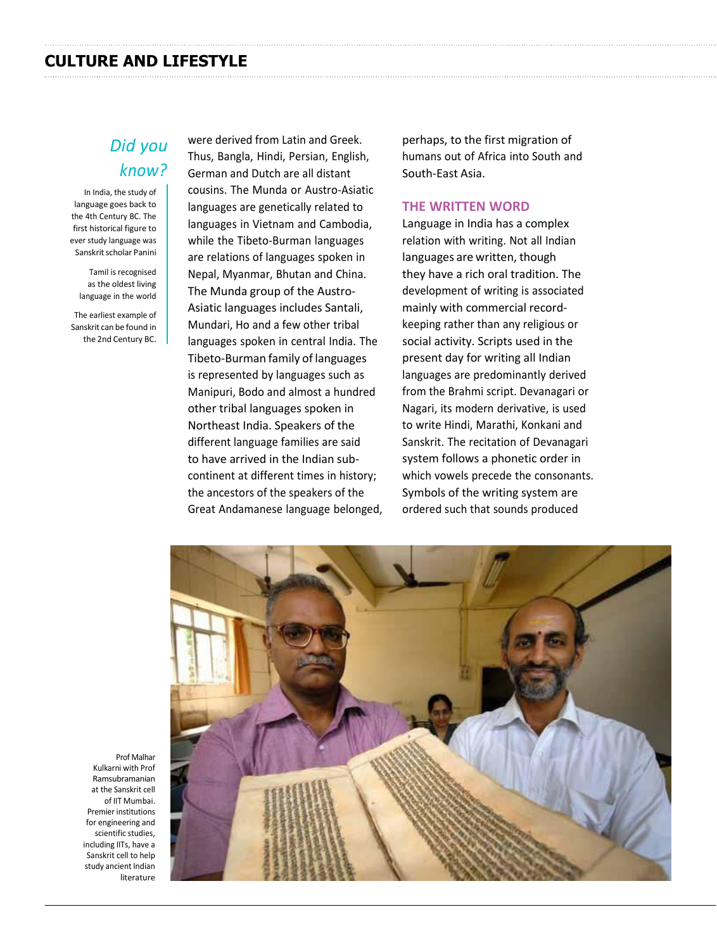#### **CULTURE AND LIFESTYLE**

## *Did you know?*

In India, the study of language goes back to the 4th Century BC. The first historical figure to ever study language was Sanskrit scholar Panini

Tamil is recognised as the oldest living language in the world

The earliest example of Sanskrit can be found in the 2nd Century BC. were derived from Latin and Greek. Thus, Bangla, Hindi, Persian, English, German and Dutch are all distant cousins. The Munda or Austro-Asiatic languages are genetically related to languages in Vietnam and Cambodia, while the Tibeto-Burman languages are relations of languages spoken in Nepal, Myanmar, Bhutan and China. The Munda group of the Austro-Asiatic languages includes Santali, Mundari, Ho and a few other tribal languages spoken in central India. The Tibeto-Burman family of languages is represented by languages such as Manipuri, Bodo and almost a hundred other tribal languages spoken in Northeast India. Speakers of the different language families are said to have arrived in the Indian subcontinent at different times in history; the ancestors of the speakers of the Great Andamanese language belonged,

perhaps, to the first migration of humans out of Africa into South and South-East Asia.

## **THE WRITTEN WORD**

Language in India has a complex relation with writing. Not all Indian languages are written, though they have a rich oral tradition. The development of writing is associated mainly with commercial recordkeeping rather than any religious or social activity. Scripts used in the present day for writing all Indian languages are predominantly derived from the Brahmi script. Devanagari or Nagari, its modern derivative, is used to write Hindi, Marathi, Konkani and Sanskrit. The recitation of Devanagari system follows a phonetic order in which vowels precede the consonants. Symbols of the writing system are ordered such that sounds produced



Prof Malhar Kulkarni with Prof Ramsubramanian at the Sanskrit cell of IIT Mumbai. Premier institutions for engineering and scientific studies, including IITs, have a Sanskrit cell to help study ancient Indian literature